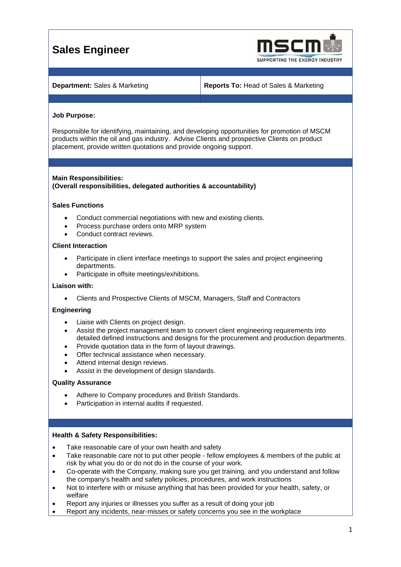# **Sales Engineer**



**Department:** Sales & Marketing **Reports To:** Head of Sales & Marketing

# **Job Purpose:**

Responsible for identifying, maintaining, and developing opportunities for promotion of MSCM products within the oil and gas industry. Advise Clients and prospective Clients on product placement, provide written quotations and provide ongoing support.

# **Main Responsibilities:**

# **(Overall responsibilities, delegated authorities & accountability)**

# **Sales Functions**

- Conduct commercial negotiations with new and existing clients.
- Process purchase orders onto MRP system
- Conduct contract reviews.

### **Client Interaction**

- Participate in client interface meetings to support the sales and project engineering departments.
- Participate in offsite meetings/exhibitions.

### **Liaison with:**

• Clients and Prospective Clients of MSCM, Managers, Staff and Contractors

### **Engineering**

- Liaise with Clients on project design.
- Assist the project management team to convert client engineering requirements into detailed defined instructions and designs for the procurement and production departments.
- Provide quotation data in the form of layout drawings.
- Offer technical assistance when necessary.
- Attend internal design reviews.
- Assist in the development of design standards.

### **Quality Assurance**

- Adhere to Company procedures and British Standards.
- Participation in internal audits if requested.

### **Health & Safety Responsibilities:**

- Take reasonable care of your own health and safety
- Take reasonable care not to put other people fellow employees & members of the public at risk by what you do or do not do in the course of your work.
- Co-operate with the Company, making sure you get training, and you understand and follow the company's health and safety policies, procedures, and work instructions
- Not to interfere with or misuse anything that has been provided for your health, safety, or welfare
- Report any injuries or illnesses you suffer as a result of doing your job
- Report any incidents, near-misses or safety concerns you see in the workplace